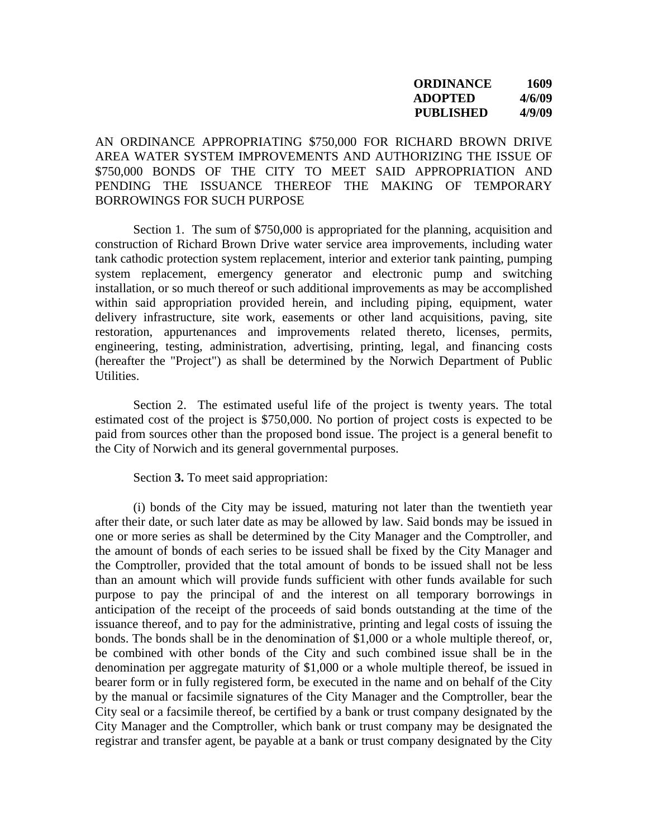## **ORDINANCE 1609 ADOPTED 4/6/09 PUBLISHED 4/9/09**

AN ORDINANCE APPROPRIATING \$750,000 FOR RICHARD BROWN DRIVE AREA WATER SYSTEM IMPROVEMENTS AND AUTHORIZING THE ISSUE OF \$750,000 BONDS OF THE CITY TO MEET SAID APPROPRIATION AND PENDING THE ISSUANCE THEREOF THE MAKING OF TEMPORARY BORROWINGS FOR SUCH PURPOSE

Section 1. The sum of \$750,000 is appropriated for the planning, acquisition and construction of Richard Brown Drive water service area improvements, including water tank cathodic protection system replacement, interior and exterior tank painting, pumping system replacement, emergency generator and electronic pump and switching installation, or so much thereof or such additional improvements as may be accomplished within said appropriation provided herein, and including piping, equipment, water delivery infrastructure, site work, easements or other land acquisitions, paving, site restoration, appurtenances and improvements related thereto, licenses, permits, engineering, testing, administration, advertising, printing, legal, and financing costs (hereafter the "Project") as shall be determined by the Norwich Department of Public Utilities.

Section 2. The estimated useful life of the project is twenty years. The total estimated cost of the project is \$750,000. No portion of project costs is expected to be paid from sources other than the proposed bond issue. The project is a general benefit to the City of Norwich and its general governmental purposes.

Section **3.** To meet said appropriation:

(i) bonds of the City may be issued, maturing not later than the twentieth year after their date, or such later date as may be allowed by law. Said bonds may be issued in one or more series as shall be determined by the City Manager and the Comptroller, and the amount of bonds of each series to be issued shall be fixed by the City Manager and the Comptroller, provided that the total amount of bonds to be issued shall not be less than an amount which will provide funds sufficient with other funds available for such purpose to pay the principal of and the interest on all temporary borrowings in anticipation of the receipt of the proceeds of said bonds outstanding at the time of the issuance thereof, and to pay for the administrative, printing and legal costs of issuing the bonds. The bonds shall be in the denomination of \$1,000 or a whole multiple thereof, or, be combined with other bonds of the City and such combined issue shall be in the denomination per aggregate maturity of \$1,000 or a whole multiple thereof, be issued in bearer form or in fully registered form, be executed in the name and on behalf of the City by the manual or facsimile signatures of the City Manager and the Comptroller, bear the City seal or a facsimile thereof, be certified by a bank or trust company designated by the City Manager and the Comptroller, which bank or trust company may be designated the registrar and transfer agent, be payable at a bank or trust company designated by the City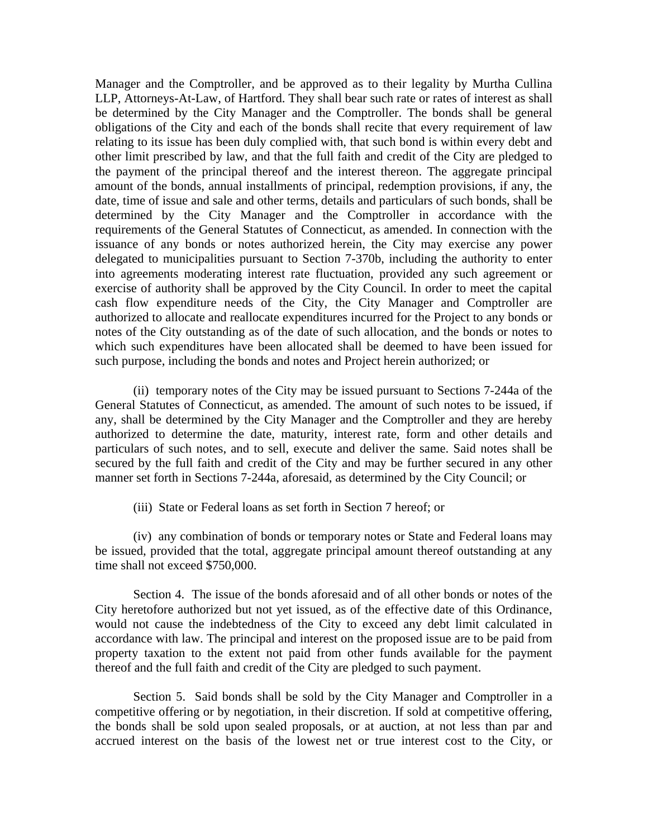Manager and the Comptroller, and be approved as to their legality by Murtha Cullina LLP, Attorneys-At-Law, of Hartford. They shall bear such rate or rates of interest as shall be determined by the City Manager and the Comptroller. The bonds shall be general obligations of the City and each of the bonds shall recite that every requirement of law relating to its issue has been duly complied with, that such bond is within every debt and other limit prescribed by law, and that the full faith and credit of the City are pledged to the payment of the principal thereof and the interest thereon. The aggregate principal amount of the bonds, annual installments of principal, redemption provisions, if any, the date, time of issue and sale and other terms, details and particulars of such bonds, shall be determined by the City Manager and the Comptroller in accordance with the requirements of the General Statutes of Connecticut, as amended. In connection with the issuance of any bonds or notes authorized herein, the City may exercise any power delegated to municipalities pursuant to Section 7-370b, including the authority to enter into agreements moderating interest rate fluctuation, provided any such agreement or exercise of authority shall be approved by the City Council. In order to meet the capital cash flow expenditure needs of the City, the City Manager and Comptroller are authorized to allocate and reallocate expenditures incurred for the Project to any bonds or notes of the City outstanding as of the date of such allocation, and the bonds or notes to which such expenditures have been allocated shall be deemed to have been issued for such purpose, including the bonds and notes and Project herein authorized; or

(ii) temporary notes of the City may be issued pursuant to Sections 7-244a of the General Statutes of Connecticut, as amended. The amount of such notes to be issued, if any, shall be determined by the City Manager and the Comptroller and they are hereby authorized to determine the date, maturity, interest rate, form and other details and particulars of such notes, and to sell, execute and deliver the same. Said notes shall be secured by the full faith and credit of the City and may be further secured in any other manner set forth in Sections 7-244a, aforesaid, as determined by the City Council; or

(iii) State or Federal loans as set forth in Section 7 hereof; or

(iv) any combination of bonds or temporary notes or State and Federal loans may be issued, provided that the total, aggregate principal amount thereof outstanding at any time shall not exceed \$750,000.

Section 4. The issue of the bonds aforesaid and of all other bonds or notes of the City heretofore authorized but not yet issued, as of the effective date of this Ordinance, would not cause the indebtedness of the City to exceed any debt limit calculated in accordance with law. The principal and interest on the proposed issue are to be paid from property taxation to the extent not paid from other funds available for the payment thereof and the full faith and credit of the City are pledged to such payment.

Section 5. Said bonds shall be sold by the City Manager and Comptroller in a competitive offering or by negotiation, in their discretion. If sold at competitive offering, the bonds shall be sold upon sealed proposals, or at auction, at not less than par and accrued interest on the basis of the lowest net or true interest cost to the City, or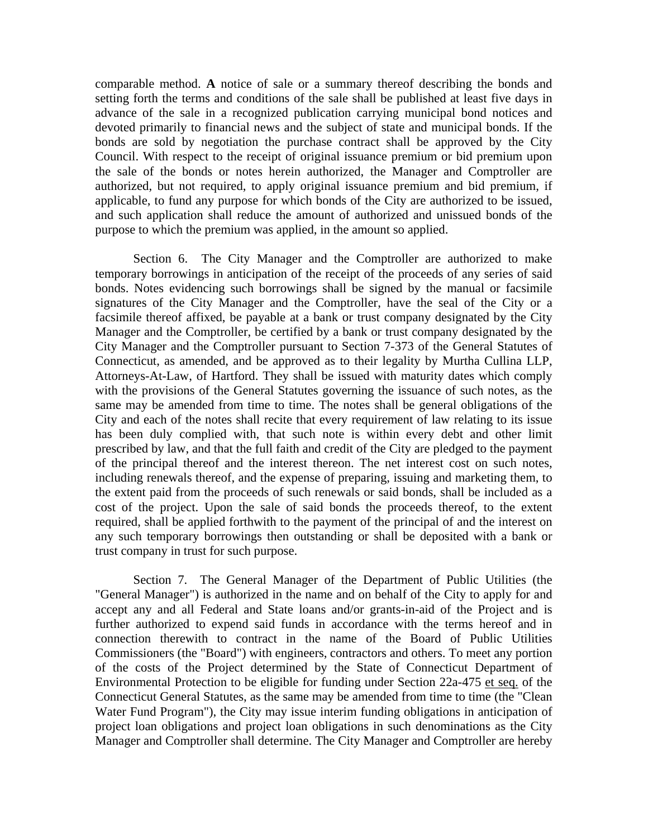comparable method. **A** notice of sale or a summary thereof describing the bonds and setting forth the terms and conditions of the sale shall be published at least five days in advance of the sale in a recognized publication carrying municipal bond notices and devoted primarily to financial news and the subject of state and municipal bonds. If the bonds are sold by negotiation the purchase contract shall be approved by the City Council. With respect to the receipt of original issuance premium or bid premium upon the sale of the bonds or notes herein authorized, the Manager and Comptroller are authorized, but not required, to apply original issuance premium and bid premium, if applicable, to fund any purpose for which bonds of the City are authorized to be issued, and such application shall reduce the amount of authorized and unissued bonds of the purpose to which the premium was applied, in the amount so applied.

Section 6. The City Manager and the Comptroller are authorized to make temporary borrowings in anticipation of the receipt of the proceeds of any series of said bonds. Notes evidencing such borrowings shall be signed by the manual or facsimile signatures of the City Manager and the Comptroller, have the seal of the City or a facsimile thereof affixed, be payable at a bank or trust company designated by the City Manager and the Comptroller, be certified by a bank or trust company designated by the City Manager and the Comptroller pursuant to Section 7-373 of the General Statutes of Connecticut, as amended, and be approved as to their legality by Murtha Cullina LLP, Attorneys-At-Law, of Hartford. They shall be issued with maturity dates which comply with the provisions of the General Statutes governing the issuance of such notes, as the same may be amended from time to time. The notes shall be general obligations of the City and each of the notes shall recite that every requirement of law relating to its issue has been duly complied with, that such note is within every debt and other limit prescribed by law, and that the full faith and credit of the City are pledged to the payment of the principal thereof and the interest thereon. The net interest cost on such notes, including renewals thereof, and the expense of preparing, issuing and marketing them, to the extent paid from the proceeds of such renewals or said bonds, shall be included as a cost of the project. Upon the sale of said bonds the proceeds thereof, to the extent required, shall be applied forthwith to the payment of the principal of and the interest on any such temporary borrowings then outstanding or shall be deposited with a bank or trust company in trust for such purpose.

Section 7. The General Manager of the Department of Public Utilities (the "General Manager") is authorized in the name and on behalf of the City to apply for and accept any and all Federal and State loans and/or grants-in-aid of the Project and is further authorized to expend said funds in accordance with the terms hereof and in connection therewith to contract in the name of the Board of Public Utilities Commissioners (the "Board") with engineers, contractors and others. To meet any portion of the costs of the Project determined by the State of Connecticut Department of Environmental Protection to be eligible for funding under Section 22a-475 et seq. of the Connecticut General Statutes, as the same may be amended from time to time (the "Clean Water Fund Program"), the City may issue interim funding obligations in anticipation of project loan obligations and project loan obligations in such denominations as the City Manager and Comptroller shall determine. The City Manager and Comptroller are hereby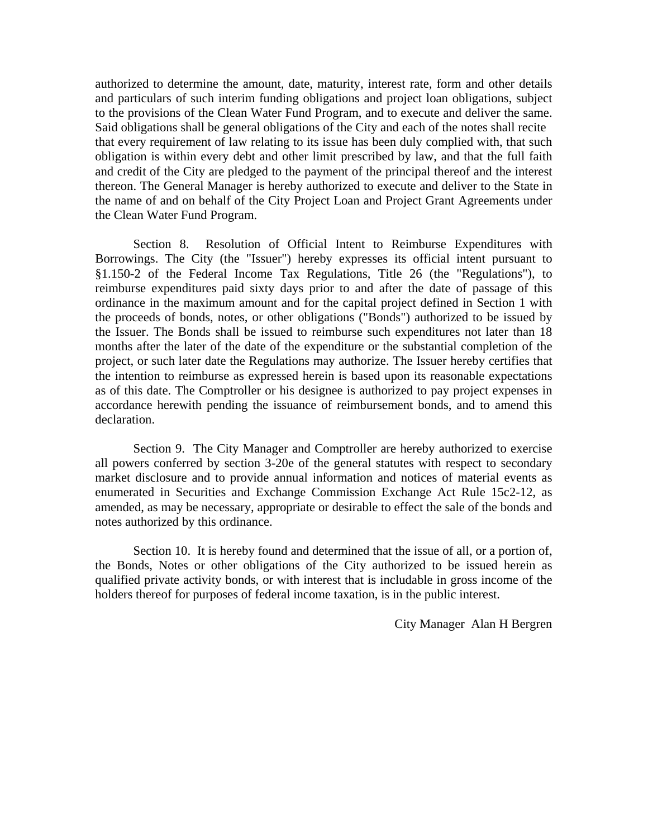authorized to determine the amount, date, maturity, interest rate, form and other details and particulars of such interim funding obligations and project loan obligations, subject to the provisions of the Clean Water Fund Program, and to execute and deliver the same. Said obligations shall be general obligations of the City and each of the notes shall recite that every requirement of law relating to its issue has been duly complied with, that such obligation is within every debt and other limit prescribed by law, and that the full faith and credit of the City are pledged to the payment of the principal thereof and the interest thereon. The General Manager is hereby authorized to execute and deliver to the State in the name of and on behalf of the City Project Loan and Project Grant Agreements under the Clean Water Fund Program.

Section 8. Resolution of Official Intent to Reimburse Expenditures with Borrowings. The City (the "Issuer") hereby expresses its official intent pursuant to §1.150-2 of the Federal Income Tax Regulations, Title 26 (the "Regulations"), to reimburse expenditures paid sixty days prior to and after the date of passage of this ordinance in the maximum amount and for the capital project defined in Section 1 with the proceeds of bonds, notes, or other obligations ("Bonds") authorized to be issued by the Issuer. The Bonds shall be issued to reimburse such expenditures not later than 18 months after the later of the date of the expenditure or the substantial completion of the project, or such later date the Regulations may authorize. The Issuer hereby certifies that the intention to reimburse as expressed herein is based upon its reasonable expectations as of this date. The Comptroller or his designee is authorized to pay project expenses in accordance herewith pending the issuance of reimbursement bonds, and to amend this declaration.

Section 9. The City Manager and Comptroller are hereby authorized to exercise all powers conferred by section 3-20e of the general statutes with respect to secondary market disclosure and to provide annual information and notices of material events as enumerated in Securities and Exchange Commission Exchange Act Rule 15c2-12, as amended, as may be necessary, appropriate or desirable to effect the sale of the bonds and notes authorized by this ordinance.

Section 10. It is hereby found and determined that the issue of all, or a portion of, the Bonds, Notes or other obligations of the City authorized to be issued herein as qualified private activity bonds, or with interest that is includable in gross income of the holders thereof for purposes of federal income taxation, is in the public interest.

City Manager Alan H Bergren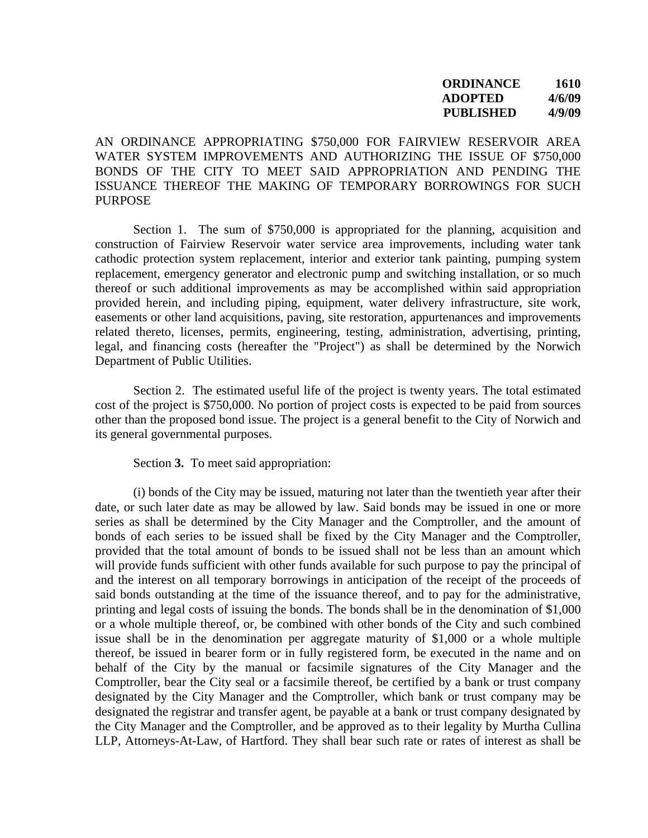## **ORDINANCE 1610 ADOPTED 4/6/09 PUBLISHED 4/9/09**

AN ORDINANCE APPROPRIATING \$750,000 FOR FAIRVIEW RESERVOIR AREA WATER SYSTEM IMPROVEMENTS AND AUTHORIZING THE ISSUE OF \$750,000 BONDS OF THE CITY TO MEET SAID APPROPRIATION AND PENDING THE ISSUANCE THEREOF THE MAKING OF TEMPORARY BORROWINGS FOR SUCH PURPOSE

Section 1. The sum of \$750,000 is appropriated for the planning, acquisition and construction of Fairview Reservoir water service area improvements, including water tank cathodic protection system replacement, interior and exterior tank painting, pumping system replacement, emergency generator and electronic pump and switching installation, or so much thereof or such additional improvements as may be accomplished within said appropriation provided herein, and including piping, equipment, water delivery infrastructure, site work, easements or other land acquisitions, paving, site restoration, appurtenances and improvements related thereto, licenses, permits, engineering, testing, administration, advertising, printing, legal, and financing costs (hereafter the "Project") as shall be determined by the Norwich Department of Public Utilities.

Section 2. The estimated useful life of the project is twenty years. The total estimated cost of the project is \$750,000. No portion of project costs is expected to be paid from sources other than the proposed bond issue. The project is a general benefit to the City of Norwich and its general governmental purposes.

Section **3.** To meet said appropriation:

(i) bonds of the City may be issued, maturing not later than the twentieth year after their date, or such later date as may be allowed by law. Said bonds may be issued in one or more series as shall be determined by the City Manager and the Comptroller, and the amount of bonds of each series to be issued shall be fixed by the City Manager and the Comptroller, provided that the total amount of bonds to be issued shall not be less than an amount which will provide funds sufficient with other funds available for such purpose to pay the principal of and the interest on all temporary borrowings in anticipation of the receipt of the proceeds of said bonds outstanding at the time of the issuance thereof, and to pay for the administrative, printing and legal costs of issuing the bonds. The bonds shall be in the denomination of \$1,000 or a whole multiple thereof, or, be combined with other bonds of the City and such combined issue shall be in the denomination per aggregate maturity of \$1,000 or a whole multiple thereof, be issued in bearer form or in fully registered form, be executed in the name and on behalf of the City by the manual or facsimile signatures of the City Manager and the Comptroller, bear the City seal or a facsimile thereof, be certified by a bank or trust company designated by the City Manager and the Comptroller, which bank or trust company may be designated the registrar and transfer agent, be payable at a bank or trust company designated by the City Manager and the Comptroller, and be approved as to their legality by Murtha Cullina LLP, Attorneys-At-Law, of Hartford. They shall bear such rate or rates of interest as shall be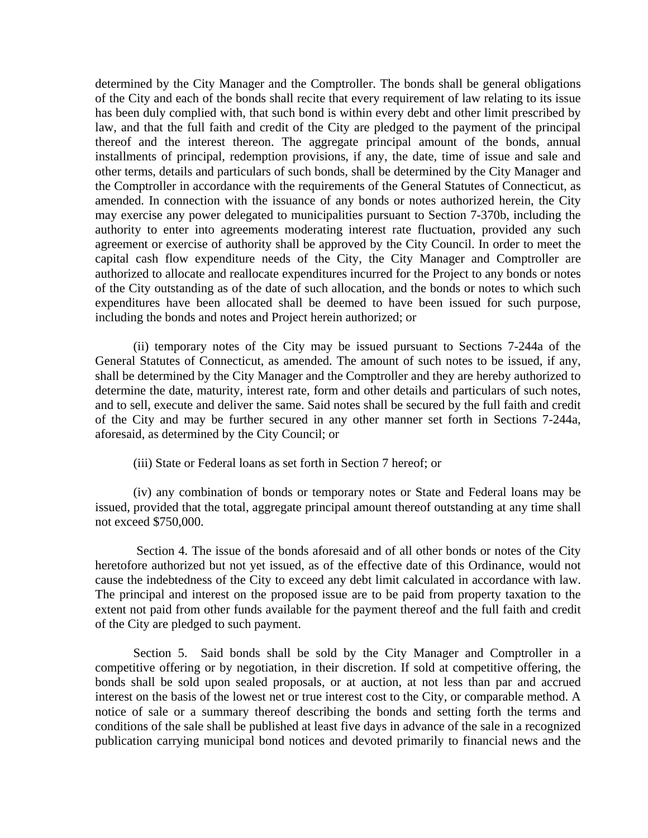determined by the City Manager and the Comptroller. The bonds shall be general obligations of the City and each of the bonds shall recite that every requirement of law relating to its issue has been duly complied with, that such bond is within every debt and other limit prescribed by law, and that the full faith and credit of the City are pledged to the payment of the principal thereof and the interest thereon. The aggregate principal amount of the bonds, annual installments of principal, redemption provisions, if any, the date, time of issue and sale and other terms, details and particulars of such bonds, shall be determined by the City Manager and the Comptroller in accordance with the requirements of the General Statutes of Connecticut, as amended. In connection with the issuance of any bonds or notes authorized herein, the City may exercise any power delegated to municipalities pursuant to Section 7-370b, including the authority to enter into agreements moderating interest rate fluctuation, provided any such agreement or exercise of authority shall be approved by the City Council. In order to meet the capital cash flow expenditure needs of the City, the City Manager and Comptroller are authorized to allocate and reallocate expenditures incurred for the Project to any bonds or notes of the City outstanding as of the date of such allocation, and the bonds or notes to which such expenditures have been allocated shall be deemed to have been issued for such purpose, including the bonds and notes and Project herein authorized; or

(ii) temporary notes of the City may be issued pursuant to Sections 7-244a of the General Statutes of Connecticut, as amended. The amount of such notes to be issued, if any, shall be determined by the City Manager and the Comptroller and they are hereby authorized to determine the date, maturity, interest rate, form and other details and particulars of such notes, and to sell, execute and deliver the same. Said notes shall be secured by the full faith and credit of the City and may be further secured in any other manner set forth in Sections 7-244a, aforesaid, as determined by the City Council; or

(iii) State or Federal loans as set forth in Section 7 hereof; or

(iv) any combination of bonds or temporary notes or State and Federal loans may be issued, provided that the total, aggregate principal amount thereof outstanding at any time shall not exceed \$750,000.

 Section 4. The issue of the bonds aforesaid and of all other bonds or notes of the City heretofore authorized but not yet issued, as of the effective date of this Ordinance, would not cause the indebtedness of the City to exceed any debt limit calculated in accordance with law. The principal and interest on the proposed issue are to be paid from property taxation to the extent not paid from other funds available for the payment thereof and the full faith and credit of the City are pledged to such payment.

Section 5. Said bonds shall be sold by the City Manager and Comptroller in a competitive offering or by negotiation, in their discretion. If sold at competitive offering, the bonds shall be sold upon sealed proposals, or at auction, at not less than par and accrued interest on the basis of the lowest net or true interest cost to the City, or comparable method. A notice of sale or a summary thereof describing the bonds and setting forth the terms and conditions of the sale shall be published at least five days in advance of the sale in a recognized publication carrying municipal bond notices and devoted primarily to financial news and the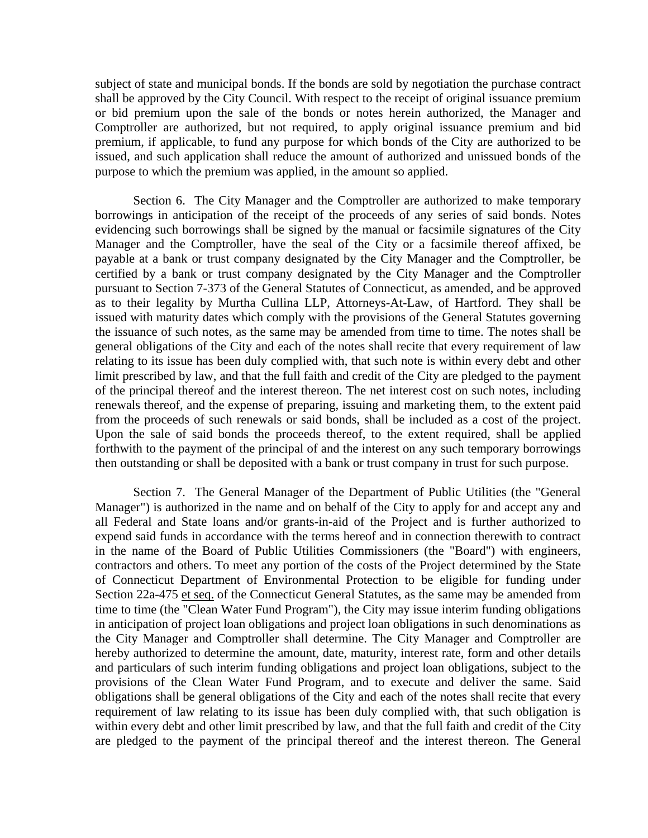subject of state and municipal bonds. If the bonds are sold by negotiation the purchase contract shall be approved by the City Council. With respect to the receipt of original issuance premium or bid premium upon the sale of the bonds or notes herein authorized, the Manager and Comptroller are authorized, but not required, to apply original issuance premium and bid premium, if applicable, to fund any purpose for which bonds of the City are authorized to be issued, and such application shall reduce the amount of authorized and unissued bonds of the purpose to which the premium was applied, in the amount so applied.

Section 6. The City Manager and the Comptroller are authorized to make temporary borrowings in anticipation of the receipt of the proceeds of any series of said bonds. Notes evidencing such borrowings shall be signed by the manual or facsimile signatures of the City Manager and the Comptroller, have the seal of the City or a facsimile thereof affixed, be payable at a bank or trust company designated by the City Manager and the Comptroller, be certified by a bank or trust company designated by the City Manager and the Comptroller pursuant to Section 7-373 of the General Statutes of Connecticut, as amended, and be approved as to their legality by Murtha Cullina LLP, Attorneys-At-Law, of Hartford. They shall be issued with maturity dates which comply with the provisions of the General Statutes governing the issuance of such notes, as the same may be amended from time to time. The notes shall be general obligations of the City and each of the notes shall recite that every requirement of law relating to its issue has been duly complied with, that such note is within every debt and other limit prescribed by law, and that the full faith and credit of the City are pledged to the payment of the principal thereof and the interest thereon. The net interest cost on such notes, including renewals thereof, and the expense of preparing, issuing and marketing them, to the extent paid from the proceeds of such renewals or said bonds, shall be included as a cost of the project. Upon the sale of said bonds the proceeds thereof, to the extent required, shall be applied forthwith to the payment of the principal of and the interest on any such temporary borrowings then outstanding or shall be deposited with a bank or trust company in trust for such purpose.

Section 7. The General Manager of the Department of Public Utilities (the "General Manager") is authorized in the name and on behalf of the City to apply for and accept any and all Federal and State loans and/or grants-in-aid of the Project and is further authorized to expend said funds in accordance with the terms hereof and in connection therewith to contract in the name of the Board of Public Utilities Commissioners (the "Board") with engineers, contractors and others. To meet any portion of the costs of the Project determined by the State of Connecticut Department of Environmental Protection to be eligible for funding under Section 22a-475 et seq. of the Connecticut General Statutes, as the same may be amended from time to time (the "Clean Water Fund Program"), the City may issue interim funding obligations in anticipation of project loan obligations and project loan obligations in such denominations as the City Manager and Comptroller shall determine. The City Manager and Comptroller are hereby authorized to determine the amount, date, maturity, interest rate, form and other details and particulars of such interim funding obligations and project loan obligations, subject to the provisions of the Clean Water Fund Program, and to execute and deliver the same. Said obligations shall be general obligations of the City and each of the notes shall recite that every requirement of law relating to its issue has been duly complied with, that such obligation is within every debt and other limit prescribed by law, and that the full faith and credit of the City are pledged to the payment of the principal thereof and the interest thereon. The General